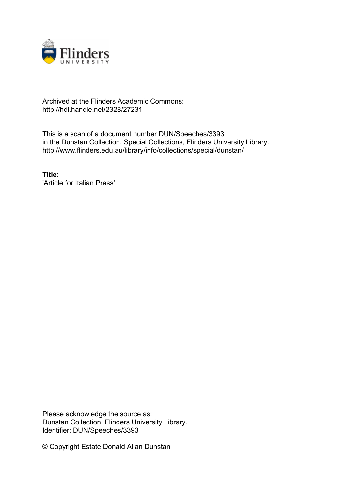

## Archived at the Flinders Academic Commons: http://hdl.handle.net/2328/27231

This is a scan of a document number DUN/Speeches/3393 in the Dunstan Collection, Special Collections, Flinders University Library. http://www.flinders.edu.au/library/info/collections/special/dunstan/

**Title:** 'Article for Italian Press'

Please acknowledge the source as: Dunstan Collection, Flinders University Library. Identifier: DUN/Speeches/3393

© Copyright Estate Donald Allan Dunstan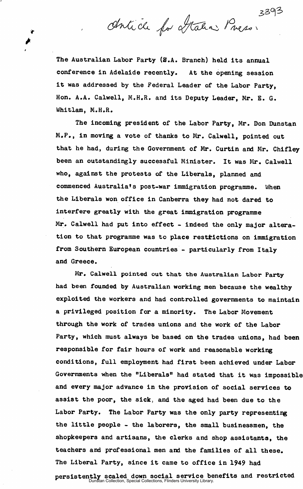Antich for Mahar Press.

The Australian Labor Party (S.A. Branch) held its annual conference in Adelaide recently. At the opening session it was addressed by the Federal Leader of the Labor Party, Hon. A.A. Calwell, M.H.R. and its Deputy Leader, Mr. E. G. Whitlam, M.H.R.

The incoming president of the Labor Party, Mr. Don Dunstan M.P., in moving a vote of thanks to Mr. Calwell, pointed out that he had, during the Government of Mr. Curtin and Mr. Chifley been an outstandingly successful Minister. It was Mr. Calwell who, against the protests of the Liberals, planned and commenced Australia's post-war immigration programme. When the Liberals won office in Canberra they had not dared to interfere greatly with the great immigration programme Mr. Calwell had put into effect - indeed the only major alteration to that programme was to place restrictions on immigration from Southern European countries - particularly from Italy and Greece.

Mr. Calwell pointed out that the Australian Labor Party had been founded by Australian working men because the wealthy exploited the workers and had controlled governments to maintain a privileged position for a minority. The Labor Movement through the work of trades unions and the work of the Labor Party, which must always be based on the trades unions, had been responsible for fair hours of work and reasonable working conditions, full employment had first been achieved under Labor Governments when the "Liberals" had stated that it was impossible and every major advance in the provision of social services to assist the poor, the sick, and the aged had been due to the Labor Party. The Labor Party was the only party representing the little people - the laborers, the small businessmen, the shopkeepers and artisans, the clerks and shop assistants, the teachers and professional men and the families of all these. The Liberal Party, since it came to office in 1949 had

persistently scaled down social service benefits and restricted Dunstan Collection, Special Collections, Flinders University Library.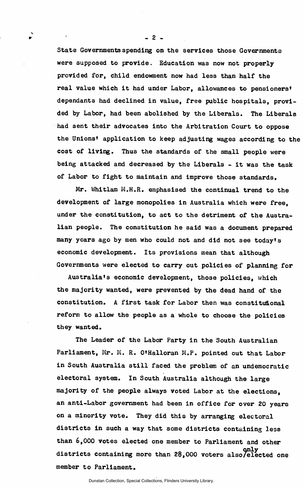State Governments spending on the services those Governments were supposed to provide. Education was now not properly provided for, child endowment now had less than half the real value which it had under Labor, allowances to pensioners' dependants had declined in value, free public hospitals, provided by Labor, had been abolished by the Liberals. The Liberals had sent their advocates into the Arbitration Court to oppose the Unions' application to keep adjusting wages according to the cost of living. Thus the standards of the small people were being attacked and decreased by the Liberals - it was the task of Labor to fight to maintain and improve those standards.

Mr. Whitlam M.H.R. emphasised the continual trend to the development of large monopolies in Australia which were free, under the constitution, to act to the detriment of the Australian people. The constitution he said was a document prepared many years ago by men who could not and did not see today's economic development. Its provisions mean that although Governments were elected to carry out policies of planning for

Australia\*s economic development, those policies, which the majority wanted, were prevented by the dead hand of the constitution. A first task for Labor then was constitutional reform to allow the people as a whole to choose the policies they wanted.

The Leader of the Labor Party in the South Australian Parliament, Mr. M. R. O'Halloran M.P. pointed out that Labor in South Australia still faced the problem of an undemocratic electoral system. In South Australia although the large majority of the people always voted Labor at the elections, an anti-Labor government had been in office for over 20 years on a minority vote. They did this by arranging electoral districts in such a way that some districts containing less than 6,000 votes elected one member to Parliament and other districts containing more than 28,000 voters also/elected one member to Parliament.

 $-2-$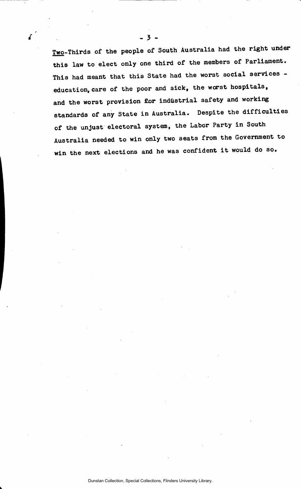Two-Thirds of the people of South Australia had the right under this law to elect only one third of the members of Parliament. This had meant that this State had the worst social services education, care of the poor and sick, the worst hospitals, and the worst provision for industrial safety and working standards of any State in Australia. Despite the difficulties of the unjust electoral system, the Labor Party in South Australia needed to win only two seats from the Government to win the next elections and he was confident it would do so.

*i* -<sup>3</sup> -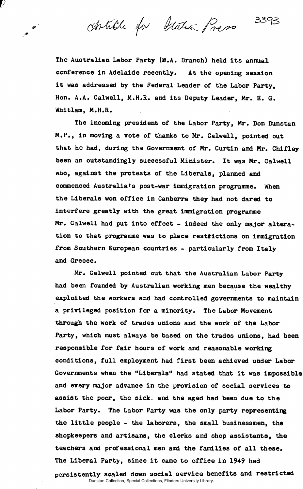chtille for Italian Press

3393

The Australian Labor Party (*E.A.* Branch) held its annual conference in Adelaide recently. At the opening session it was addressed by the Federal Leader of the Labor Party, Hon. A.A. Calwell, M.H.R. and its Deputy Leader, Mr. E. G. Whitlam, M.H.R.

The incoming president of the Labor Party, Mr. Don Dunstan M.P., in moving a vote of thanks to Mr. Calwell, pointed out that he had, during the Government of Mr. Curtin and Mr. Chifley been an outstandingly successful Minister. It was Mr. Calwell who, against the protests of the Liberals, planned and commenced Australia's post-war immigration programme. When the Liberals won office in Canberra they had not dared to interfere greatly with the great immigration programme Mr. Calwell had put into effect - indeed the only major alteration to that programme was to place restrictions on immigration from Southern European countries - particularly from Italy and Greece.

Mr. Calwell pointed out that the Australian Labor Party had been founded by Australian working men because the wealthy exploited the workers and had controlled governments to maintain a privileged position for a minority. The Labor Movement through the work of trades unions and the work of the Labor Party, which must always be based on the trades unions, had been responsible for fair hours of work and reasonable working conditions, full employment had first been achieved under Labor Governments when the "Liberals" had stated that it was impossible and every major advance in the provision of social services to assist the poor, the sick, and the aged had been due to the Labor Party. The Labor Party was the only party representing the little people - the laborers, the small businessmen, the shopkeepers and artisans, the clerks and shop assistants, the teachers and professional men and the families of all these. The Liberal Party, since it came to office in 1949 had

persistently scaled down social service benefits and restricted Dunstan Collection, Special Collections, Flinders University Library.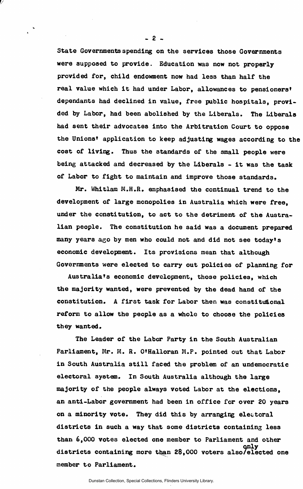State Governments spending on the services those Governments were supposed to provide. Education was now not properly provided for, child endowment now had less than half the real value which it had under Labor, allowances to pensioners' dependants had declined in value, free public hospitals, provided by Labor, had been abolished by the Liberals. The Liberals had sent their advocates into the Arbitration Court to oppose the Unions' application to keep adjusting wages according to the cost of living. Thus the standards of the small people were being attacked and decreased by the Liberals - it was the task of Labor to fight to maintain and improve those standards.

Mr. Whitlam M.H.R. emphasised the continual trend to the development of large monopolies in Australia which were free, under the constitution, to act to the detriment of the Australian people. The constitution he said was a document prepared many years ago by men who could not and did not see today's economic development. Its provisions mean that although Governments were elected to carry out policies of planning for

Australia's economic development, those policies, which the majority wanted, were prevented by the dead hand of the constitution. A first task for Labor then was constitutional reform to allow the people as a whole to choose the policies they wanted.

The Leader of the Labor Party in the South Australian Parliament, Mr. M. R. O'Halloran M.P. pointed out that Labor in South Australia still faced the problem of an undemocratic electoral system. In South Australia although the large majority of the people always voted Labor at the elections. an anti-Labor government had been in office for over 20 years on a minority vote. They did this by arranging electoral districts in such a way that some districts containing less than 6,000 votes elected one member to Parliament and other only only<br>districts containing more than 28,000 voters also/elected one districts containing more than 28,000 voters also/elected one

 $-2-$